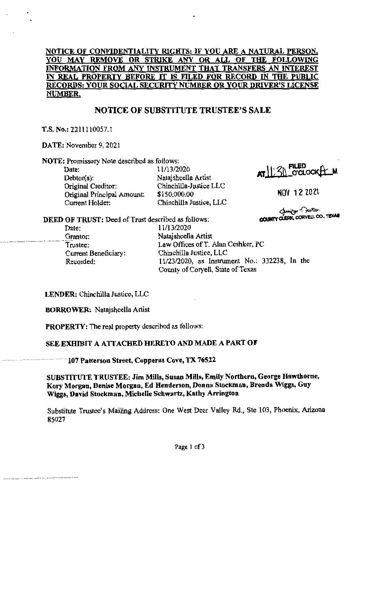# **NOTICE OF CONFIDENTIALITY RIGHTS: IF YOU ARE A NATURAL PERSON, YOU MAY REMOVE OR STRIKE ANY OR ALL OF THE FOLLOWING INFORMATION FROM ANY INSTRUMENT THAT TRANSFERS AN INTEREST IN REAL PROPERTY BEFORE IT IS FILED FOR RECORD IN THE PUBLIC RECORDS: YOUR SOCIAL SECURITY NUMBER OR YOUR DRIVER'S LICENSE NUMBER,**

# **NOTICE OF SUBSTITUTE TRUSTEE'S SALE**

**T.S. No.:** 2211110057.1

**DATE:** November 9, 2021

**NOTE: Promissory Note described as follows:** 

Debtor(s): Natajshcella Artist Original Creditor: Chinchilla-Justice LLC<br>Original Principal Amount: \$150,000.00 Original Principal Amount:<br>Current Holder:

Date: 11/13/2020 Chinchilla Justice, LLC

 $AT||?||$  FILED<br> $CCLOCK$ 

NOV 12 2021

**COUNTY CLERK, CORYELL CO., TEXAB** 

**DEED OF TRUST:** Deed of Trust described as follows: Date: 11/13/2020

> **Granter: Trustee: Current Beneficiary:**  Recorded:

Natajshcella Artist Law Offices of T. Alan Ceshker, PC Chinchilla Justice, LLC I 1/23/2020, as Instrument No.: 332238, In the County of Coryell, State of Texas

**LENDER:** Chinchilla Justice, LLC

**BORROWER:** Natajshcella Artist

**PROPERTY:** The real property described as follows:

### **SEE EXHIBIT A ATTACHED HERETO AND MADE A PART OF**

107 Patterson Street, Copperas Cove, TX 76522

**SUBSTITUTE TRUSTEE: Jim Mills, Susan Mills, Emily Northern, George Hawthorne, Kory Morgan, Denise Morgan, Ed Henderson, Donna Stockman, Brenda Wiggs, Guy Wiggs, David Stockman, Michelle Schwartz, Kathy Arrington** 

Substitute Trustee's Mailing Address: One West Deer Valley Rd., Ste 103, Phoenix, Arizona 85027

**Page 1 of3**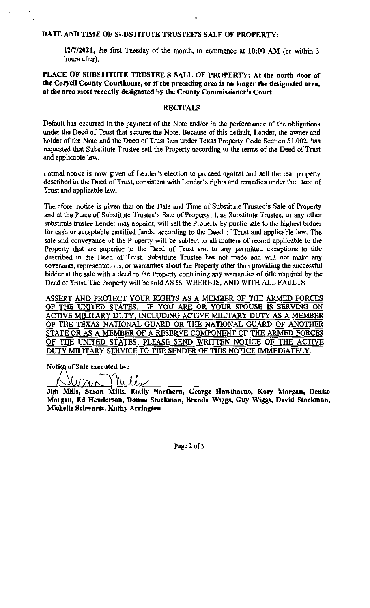#### **DATE AND TIME OF SUBSTITUTE TRUSTEE'S SALE OF PROPERTY:**

**12/7/2021,** the first Tuesday of the month, to commence at **10:00 AM** (or within 3 hours after).

# **PLACE OF SUBSTITUTE TRUSTEE'S SALE OF PROPERTY: At the north door of the Coryell County Courthouse, or if the preceding area is no longer the designated area, at the area most recently designated by the County Commissioner's Court**

#### **RECITALS**

**Default has occurred in the payment of the Note and/or in the performance of the obligations**  under the Deed of Trust that secures the Note. Because of this default, Lender, the owner and holder of the Note and the Deed of Trust lien under Texas Property Code Section 51.002, has requested that Substitute Trustee sell the Property according to the terms of the Deed of Trust and applicable law.

**Formal notice is now given of Lender's election to proceed against and sell the real property described in the Deed of Trust, consistent with Lender's rights and remedies under the Deed of**  Trust and applicable law.

**Therefore, notice is given that on the Date and Time of Substitute Trustee's Sale of Property**  and at the Place of Substitute Trustee's Sale of Property, I, as Substitute Trustee, or any other substitute trustee Lender may appoint, will sell the Property by public sale to the highest bidder **for cash or acceptable certified funds, according to the Deed of Trust and applicable law. The sale and conveyance of the Property will be subject to all matters of record applicable to the Property that are superior to the Deed of Trust and to any permitted exceptions to title described in the Deed of Trust. Substitute Trustee has not made and will not make any covenants, representations, or warranties about the Property other than providing the successful bidder at the sale with a deed to the Property containing any warranties of title required by the**  Deed of Trust. The Property will be sold AS IS, WHERE IS, AND WITH ALL FAULTS.

ASSERT AND PROTECT YOUR RIGHTS AS A MEMBER OF THE ARMED FORCES OF THE UNITED STATES. IF YOU ARE OR YOUR SPOUSE IS SERVING ON ACTNE MILITARY DUTY, INCLUDING ACTNE MILITARY DUTY AS A MEMBER OF THE TEXAS NATIONAL GUARD OR THE NATIONAL GUARD OF ANOTHER STATE OR AS A MEMBER OF A RESERVE COMPONENT OF THE ARMED FORCES OF THE UNITED STATES, PLEASE SEND WRITTEN NOTICE OF THE ACTIVE DUTY **MILITARY** SERVICE TO THE SENDER OF THIS NOTICE IMMEDIATELY.

**of Sale executed by:** 

Kills Man

**Mills, Susan Mills, Emily Northern, George Hawthorne, Kory Morgan, Denise organ, Ed Henderson, Donna Stockman, Brenda Wiggs, Guy Wiggs, David Stockman, Michelle Schwartz, Kathy Arrington** 

**Page 2 of3**